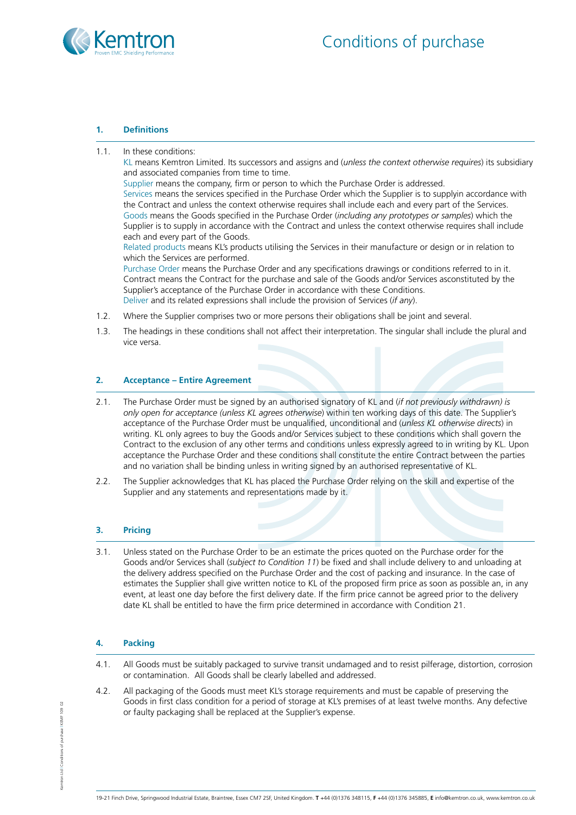

## **1. Definitions**

1.1. In these conditions:

KL means Kemtron Limited. Its successors and assigns and (*unless the context otherwise requires*) its subsidiary and associated companies from time to time.

Supplier means the company, firm or person to which the Purchase Order is addressed.

Services means the services specified in the Purchase Order which the Supplier is to supplyin accordance with the Contract and unless the context otherwise requires shall include each and every part of the Services. Goods means the Goods specified in the Purchase Order (*including any prototypes or samples*) which the Supplier is to supply in accordance with the Contract and unless the context otherwise requires shall include each and every part of the Goods.

Related products means KL's products utilising the Services in their manufacture or design or in relation to which the Services are performed.

Purchase Order means the Purchase Order and any specifications drawings or conditions referred to in it. Contract means the Contract for the purchase and sale of the Goods and/or Services asconstituted by the Supplier's acceptance of the Purchase Order in accordance with these Conditions. Deliver and its related expressions shall include the provision of Services (*if any*).

- 1.2. Where the Supplier comprises two or more persons their obligations shall be joint and several.
- 1.3. The headings in these conditions shall not affect their interpretation. The singular shall include the plural and vice versa.

# **2. Acceptance – Entire Agreement**

- 2.1. The Purchase Order must be signed by an authorised signatory of KL and (*if not previously withdrawn) is only open for acceptance (unless KL agrees otherwise*) within ten working days of this date. The Supplier's acceptance of the Purchase Order must be unqualified, unconditional and (*unless KL otherwise directs*) in writing. KL only agrees to buy the Goods and/or Services subject to these conditions which shall govern the Contract to the exclusion of any other terms and conditions unless expressly agreed to in writing by KL. Upon acceptance the Purchase Order and these conditions shall constitute the entire Contract between the parties and no variation shall be binding unless in writing signed by an authorised representative of KL.
- 2.2. The Supplier acknowledges that KL has placed the Purchase Order relying on the skill and expertise of the Supplier and any statements and representations made by it.

# **3. Pricing**

3.1. Unless stated on the Purchase Order to be an estimate the prices quoted on the Purchase order for the Goods and/or Services shall (*subject to Condition 11*) be fixed and shall include delivery to and unloading at the delivery address specified on the Purchase Order and the cost of packing and insurance. In the case of estimates the Supplier shall give written notice to KL of the proposed firm price as soon as possible an, in any event, at least one day before the first delivery date. If the firm price cannot be agreed prior to the delivery date KL shall be entitled to have the firm price determined in accordance with Condition 21.

# **4. Packing**

- 4.1. All Goods must be suitably packaged to survive transit undamaged and to resist pilferage, distortion, corrosion or contamination. All Goods shall be clearly labelled and addressed.
- 4.2. All packaging of the Goods must meet KL's storage requirements and must be capable of preserving the Goods in first class condition for a period of storage at KL's premises of at least twelve months. Any defective or faulty packaging shall be replaced at the Supplier's expense.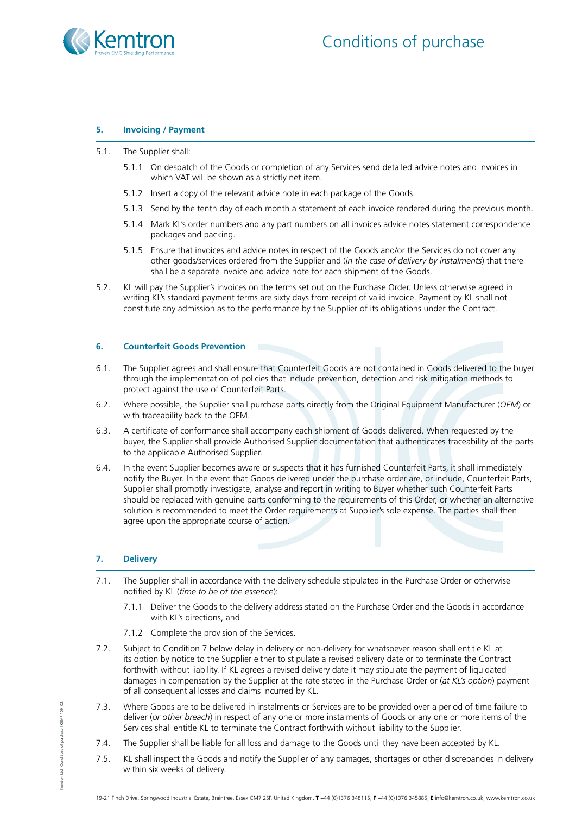

# **5. Invoicing / Payment**

- 5.1. The Supplier shall:
	- 5.1.1 On despatch of the Goods or completion of any Services send detailed advice notes and invoices in which VAT will be shown as a strictly net item.
	- 5.1.2 Insert a copy of the relevant advice note in each package of the Goods.
	- 5.1.3 Send by the tenth day of each month a statement of each invoice rendered during the previous month.
	- 5.1.4 Mark KL's order numbers and any part numbers on all invoices advice notes statement correspondence packages and packing.
	- 5.1.5 Ensure that invoices and advice notes in respect of the Goods and/or the Services do not cover any other goods/services ordered from the Supplier and (*in the case of delivery by instalments*) that there shall be a separate invoice and advice note for each shipment of the Goods.
- 5.2. KL will pay the Supplier's invoices on the terms set out on the Purchase Order. Unless otherwise agreed in writing KL's standard payment terms are sixty days from receipt of valid invoice. Payment by KL shall not constitute any admission as to the performance by the Supplier of its obligations under the Contract.

## **6. Counterfeit Goods Prevention**

- 6.1. The Supplier agrees and shall ensure that Counterfeit Goods are not contained in Goods delivered to the buyer through the implementation of policies that include prevention, detection and risk mitigation methods to protect against the use of Counterfeit Parts.
- 6.2. Where possible, the Supplier shall purchase parts directly from the Original Equipment Manufacturer (*OEM*) or with traceability back to the OEM.
- 6.3. A certificate of conformance shall accompany each shipment of Goods delivered. When requested by the buyer, the Supplier shall provide Authorised Supplier documentation that authenticates traceability of the parts to the applicable Authorised Supplier.
- 6.4. In the event Supplier becomes aware or suspects that it has furnished Counterfeit Parts, it shall immediately notify the Buyer. In the event that Goods delivered under the purchase order are, or include, Counterfeit Parts, Supplier shall promptly investigate, analyse and report in writing to Buyer whether such Counterfeit Parts should be replaced with genuine parts conforming to the requirements of this Order, or whether an alternative solution is recommended to meet the Order requirements at Supplier's sole expense. The parties shall then agree upon the appropriate course of action.

# **7. Delivery**

- 7.1. The Supplier shall in accordance with the delivery schedule stipulated in the Purchase Order or otherwise notified by KL (*time to be of the essence*):
	- 7.1.1 Deliver the Goods to the delivery address stated on the Purchase Order and the Goods in accordance with KL's directions, and
	- 7.1.2 Complete the provision of the Services.
- 7.2. Subject to Condition 7 below delay in delivery or non-delivery for whatsoever reason shall entitle KL at its option by notice to the Supplier either to stipulate a revised delivery date or to terminate the Contract forthwith without liability. If KL agrees a revised delivery date it may stipulate the payment of liquidated damages in compensation by the Supplier at the rate stated in the Purchase Order or (*at KL's option*) payment of all consequential losses and claims incurred by KL.
- 7.3. Where Goods are to be delivered in instalments or Services are to be provided over a period of time failure to deliver (*or other breach*) in respect of any one or more instalments of Goods or any one or more items of the Services shall entitle KL to terminate the Contract forthwith without liability to the Supplier.
- 7.4. The Supplier shall be liable for all loss and damage to the Goods until they have been accepted by KL.
- 7.5. KL shall inspect the Goods and notify the Supplier of any damages, shortages or other discrepancies in delivery within six weeks of delivery.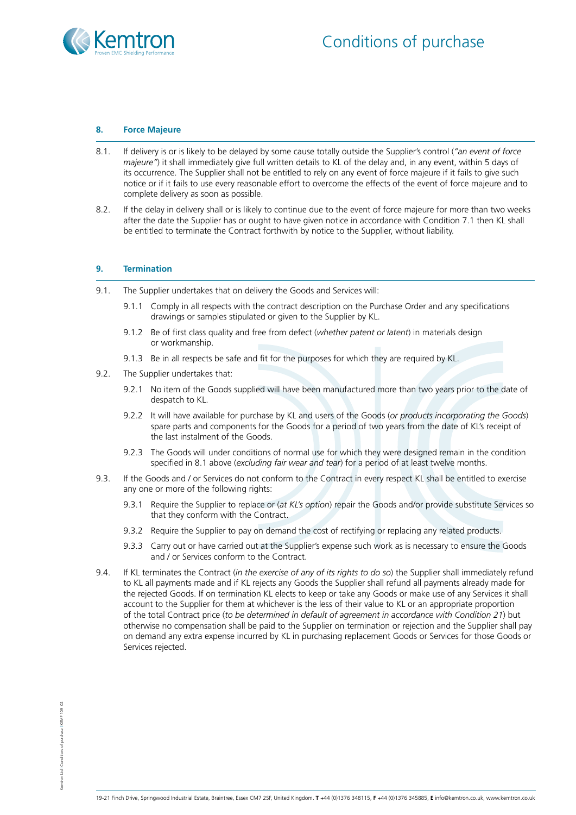

## **8. Force Majeure**

- 8.1. If delivery is or is likely to be delayed by some cause totally outside the Supplier's control (*"an event of force majeure"*) it shall immediately give full written details to KL of the delay and, in any event, within 5 days of its occurrence. The Supplier shall not be entitled to rely on any event of force majeure if it fails to give such notice or if it fails to use every reasonable effort to overcome the effects of the event of force majeure and to complete delivery as soon as possible.
- 8.2. If the delay in delivery shall or is likely to continue due to the event of force majeure for more than two weeks after the date the Supplier has or ought to have given notice in accordance with Condition 7.1 then KL shall be entitled to terminate the Contract forthwith by notice to the Supplier, without liability.

## **9. Termination**

- 9.1. The Supplier undertakes that on delivery the Goods and Services will:
	- 9.1.1 Comply in all respects with the contract description on the Purchase Order and any specifications drawings or samples stipulated or given to the Supplier by KL.
	- 9.1.2 Be of first class quality and free from defect (*whether patent or latent*) in materials design or workmanship.
	- 9.1.3 Be in all respects be safe and fit for the purposes for which they are required by KL.
- 9.2. The Supplier undertakes that:
	- 9.2.1 No item of the Goods supplied will have been manufactured more than two years prior to the date of despatch to KL.
	- 9.2.2 It will have available for purchase by KL and users of the Goods (*or products incorporating the Goods*) spare parts and components for the Goods for a period of two years from the date of KL's receipt of the last instalment of the Goods.
	- 9.2.3 The Goods will under conditions of normal use for which they were designed remain in the condition specified in 8.1 above (*excluding fair wear and tear*) for a period of at least twelve months.
- 9.3. If the Goods and / or Services do not conform to the Contract in every respect KL shall be entitled to exercise any one or more of the following rights:
	- 9.3.1 Require the Supplier to replace or (*at KL's option*) repair the Goods and/or provide substitute Services so that they conform with the Contract.
	- 9.3.2 Require the Supplier to pay on demand the cost of rectifying or replacing any related products.
	- 9.3.3 Carry out or have carried out at the Supplier's expense such work as is necessary to ensure the Goods and / or Services conform to the Contract.
- 9.4. If KL terminates the Contract (*in the exercise of any of its rights to do so*) the Supplier shall immediately refund to KL all payments made and if KL rejects any Goods the Supplier shall refund all payments already made for the rejected Goods. If on termination KL elects to keep or take any Goods or make use of any Services it shall account to the Supplier for them at whichever is the less of their value to KL or an appropriate proportion of the total Contract price (*to be determined in default of agreement in accordance with Condition 21*) but otherwise no compensation shall be paid to the Supplier on termination or rejection and the Supplier shall pay on demand any extra expense incurred by KL in purchasing replacement Goods or Services for those Goods or Services rejected.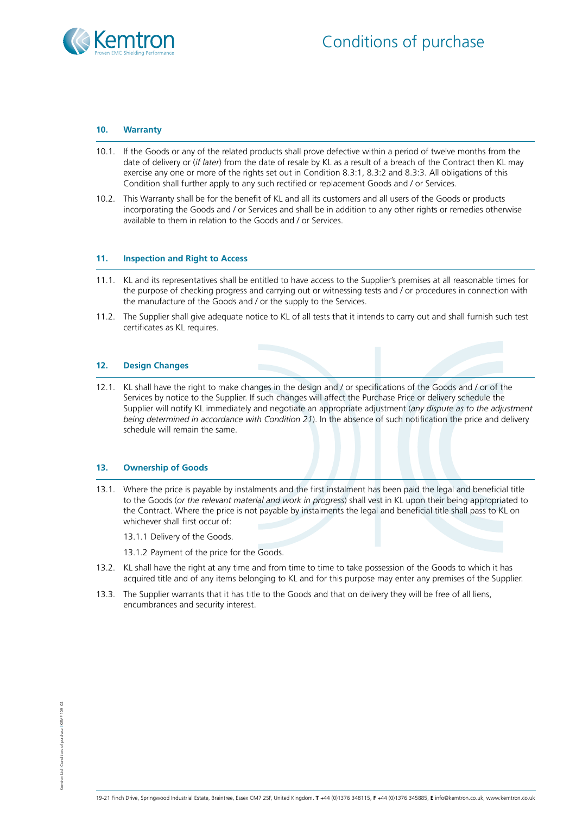

#### **10. Warranty**

- 10.1. If the Goods or any of the related products shall prove defective within a period of twelve months from the date of delivery or (*if later*) from the date of resale by KL as a result of a breach of the Contract then KL may exercise any one or more of the rights set out in Condition 8.3:1, 8.3:2 and 8.3:3. All obligations of this Condition shall further apply to any such rectified or replacement Goods and / or Services.
- 10.2. This Warranty shall be for the benefit of KL and all its customers and all users of the Goods or products incorporating the Goods and / or Services and shall be in addition to any other rights or remedies otherwise available to them in relation to the Goods and / or Services.

#### **11. Inspection and Right to Access**

- 11.1. KL and its representatives shall be entitled to have access to the Supplier's premises at all reasonable times for the purpose of checking progress and carrying out or witnessing tests and / or procedures in connection with the manufacture of the Goods and / or the supply to the Services.
- 11.2. The Supplier shall give adequate notice to KL of all tests that it intends to carry out and shall furnish such test certificates as KL requires.

## **12. Design Changes**

12.1. KL shall have the right to make changes in the design and / or specifications of the Goods and / or of the Services by notice to the Supplier. If such changes will affect the Purchase Price or delivery schedule the Supplier will notify KL immediately and negotiate an appropriate adjustment (*any dispute as to the adjustment being determined in accordance with Condition 21*). In the absence of such notification the price and delivery schedule will remain the same.

#### **13. Ownership of Goods**

13.1. Where the price is payable by instalments and the first instalment has been paid the legal and beneficial title to the Goods (*or the relevant material and work in progress*) shall vest in KL upon their being appropriated to the Contract. Where the price is not payable by instalments the legal and beneficial title shall pass to KL on whichever shall first occur of:

13.1.1 Delivery of the Goods.

13.1.2 Payment of the price for the Goods.

- 13.2. KL shall have the right at any time and from time to time to take possession of the Goods to which it has acquired title and of any items belonging to KL and for this purpose may enter any premises of the Supplier.
- 13.3. The Supplier warrants that it has title to the Goods and that on delivery they will be free of all liens, encumbrances and security interest.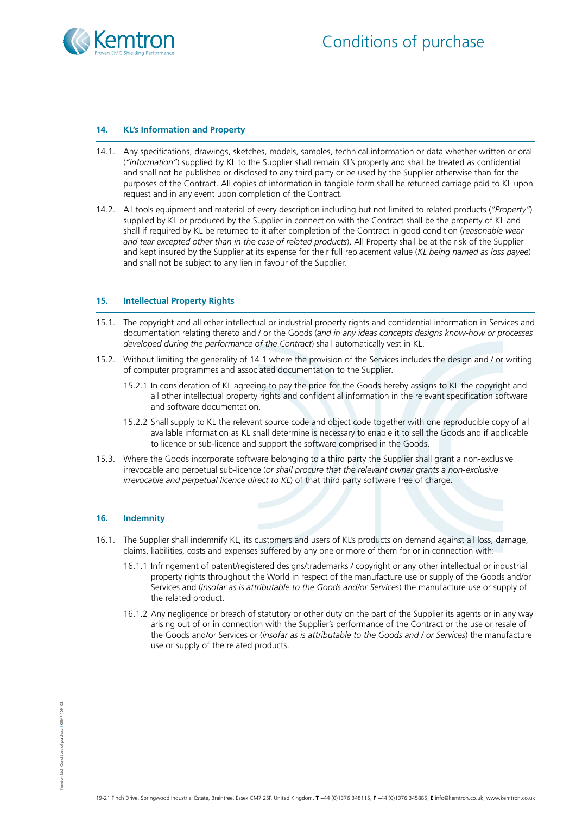

## **14. KL's Information and Property**

- 14.1. Any specifications, drawings, sketches, models, samples, technical information or data whether written or oral (*"information"*) supplied by KL to the Supplier shall remain KL's property and shall be treated as confidential and shall not be published or disclosed to any third party or be used by the Supplier otherwise than for the purposes of the Contract. All copies of information in tangible form shall be returned carriage paid to KL upon request and in any event upon completion of the Contract.
- 14.2. All tools equipment and material of every description including but not limited to related products (*"Property"*) supplied by KL or produced by the Supplier in connection with the Contract shall be the property of KL and shall if required by KL be returned to it after completion of the Contract in good condition (*reasonable wear and tear excepted other than in the case of related products*). All Property shall be at the risk of the Supplier and kept insured by the Supplier at its expense for their full replacement value (*KL being named as loss payee*) and shall not be subject to any lien in favour of the Supplier.

#### **15. Intellectual Property Rights**

- 15.1. The copyright and all other intellectual or industrial property rights and confidential information in Services and documentation relating thereto and / or the Goods (*and in any ideas concepts designs know-how or processes developed during the performance of the Contract*) shall automatically vest in KL.
- 15.2. Without limiting the generality of 14.1 where the provision of the Services includes the design and / or writing of computer programmes and associated documentation to the Supplier.
	- 15.2.1 In consideration of KL agreeing to pay the price for the Goods hereby assigns to KL the copyright and all other intellectual property rights and confidential information in the relevant specification software and software documentation.
	- 15.2.2 Shall supply to KL the relevant source code and object code together with one reproducible copy of all available information as KL shall determine is necessary to enable it to sell the Goods and if applicable to licence or sub-licence and support the software comprised in the Goods.
- 15.3. Where the Goods incorporate software belonging to a third party the Supplier shall grant a non-exclusive irrevocable and perpetual sub-licence (*or shall procure that the relevant owner grants a non-exclusive irrevocable and perpetual licence direct to KL*) of that third party software free of charge.

#### **16. Indemnity**

- 16.1. The Supplier shall indemnify KL, its customers and users of KL's products on demand against all loss, damage, claims, liabilities, costs and expenses suffered by any one or more of them for or in connection with:
	- 16.1.1 Infringement of patent/registered designs/trademarks / copyright or any other intellectual or industrial property rights throughout the World in respect of the manufacture use or supply of the Goods and/or Services and (*insofar as is attributable to the Goods and/or Services*) the manufacture use or supply of the related product.
	- 16.1.2 Any negligence or breach of statutory or other duty on the part of the Supplier its agents or in any way arising out of or in connection with the Supplier's performance of the Contract or the use or resale of the Goods and/or Services or (*insofar as is attributable to the Goods and / or Services*) the manufacture use or supply of the related products.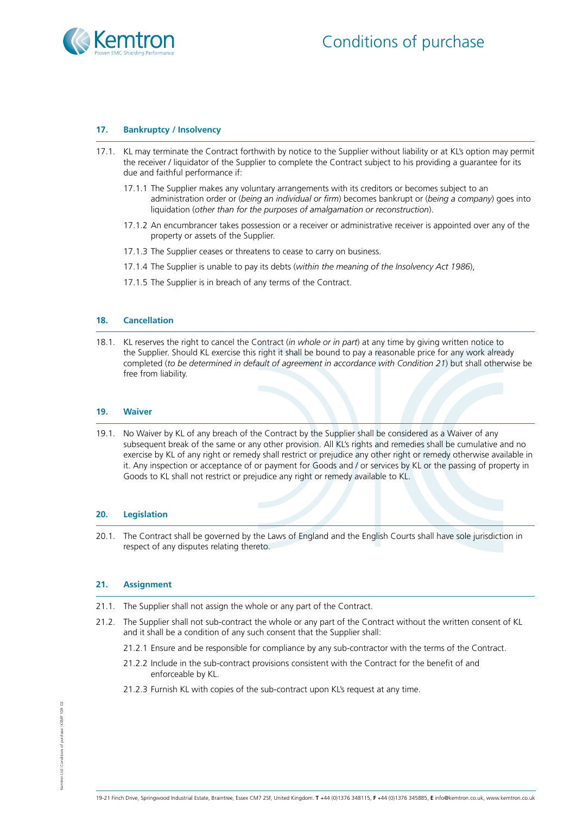

# **17. Bankruptcy / Insolvency**

- 17.1. KL may terminate the Contract forthwith by notice to the Supplier without liability or at KL's option may permit the receiver / liquidator of the Supplier to complete the Contract subject to his providing a guarantee for its due and faithful performance if:
	- 17.1.1 The Supplier makes any voluntary arrangements with its creditors or becomes subject to an administration order or (*being an individual or firm*) becomes bankrupt or (*being a company*) goes into liquidation (*other than for the purposes of amalgamation or reconstruction*).
	- 17.1.2 An encumbrancer takes possession or a receiver or administrative receiver is appointed over any of the property or assets of the Supplier.
	- 17.1.3 The Supplier ceases or threatens to cease to carry on business.
	- 17.1.4 The Supplier is unable to pay its debts (*within the meaning of the Insolvency Act 1986*),
	- 17.1.5 The Supplier is in breach of any terms of the Contract.

## **18. Cancellation**

18.1. KL reserves the right to cancel the Contract (*in whole or in part*) at any time by giving written notice to the Supplier. Should KL exercise this right it shall be bound to pay a reasonable price for any work already completed (*to be determined in default of agreement in accordance with Condition 21*) but shall otherwise be free from liability.

#### **19. Waiver**

19.1. No Waiver by KL of any breach of the Contract by the Supplier shall be considered as a Waiver of any subsequent break of the same or any other provision. All KL's rights and remedies shall be cumulative and no exercise by KL of any right or remedy shall restrict or prejudice any other right or remedy otherwise available in it. Any inspection or acceptance of or payment for Goods and / or services by KL or the passing of property in Goods to KL shall not restrict or prejudice any right or remedy available to KL.

#### **20. Legislation**

20.1. The Contract shall be governed by the Laws of England and the English Courts shall have sole jurisdiction in respect of any disputes relating thereto.

#### **21. Assignment**

- 21.1. The Supplier shall not assign the whole or any part of the Contract.
- 21.2. The Supplier shall not sub-contract the whole or any part of the Contract without the written consent of KL and it shall be a condition of any such consent that the Supplier shall:
	- 21.2.1 Ensure and be responsible for compliance by any sub-contractor with the terms of the Contract.
	- 21.2.2 Include in the sub-contract provisions consistent with the Contract for the benefit of and enforceable by KL.
	- 21.2.3 Furnish KL with copies of the sub-contract upon KL's request at any time.